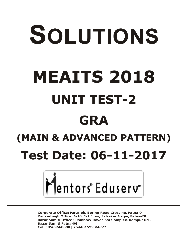# SOLUTIONS **MEAITS 2018 UNIT TEST-2 GRA (MAIN & ADVANCED PATTERN)**

# **Test Date: 06-11-2017**



**Corporate Office: Paruslok, Boring Road Crossing, Patna-01** Kankarbagh Office: A-10, 1st Floor, Patrakar Nagar, Patna-20 Bazar Samiti Office: Rainbow Tower, Sai Complex, Rampur Rd., **Bazar Samiti Patna-06** Call: 9569668800 | 7544015993/4/6/7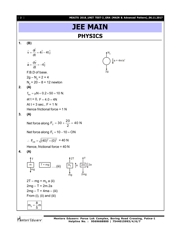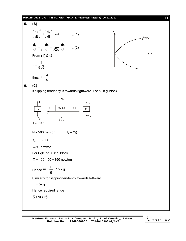#### **MEAITS 2018\_UNIT TEST-2\_GRA (MAIN & Advanced Pattern)\_06.11.2017** [ **3** ]

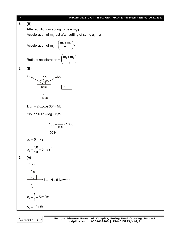

Mentors<sup>e</sup> Eduserv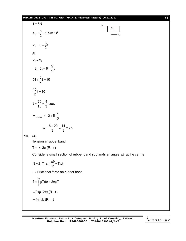#### **MEAITS 2018\_UNIT TEST-2\_GRA (MAIN & Advanced Pattern)\_06.11.2017** [ **5** ]

f = 5N  
\n
$$
a_2 = \frac{5}{2} = 2.5 \text{ m/s}^2
$$
  
\n $v_2 = 8 - \frac{5}{2}t$   
\nAt  
\n $v_1 = v_2$   
\n $-2 + 5t = 8 - \frac{5}{2}t$   
\n $5t + \frac{5}{2}t = 10$   
\n $\frac{15}{2}t = 10$   
\n $t = \frac{20}{15} = \frac{4}{3} \text{ sec.}$   
\n $V_{\text{common}} = -2 + 5 \cdot \frac{4}{3}$   
\n $= \frac{-6 + 20}{3} = \frac{14}{3} \text{ m/s.}$   
\n10. (A)  
\nTension in rubber band  
\nT = k · 2π (R – r)

Consider a small section of rubber band subtands an angle  $\Delta\theta$  at the centre

$$
N = 2 \cdot T \cdot \sin \frac{\Delta \theta}{2} = T \Delta \theta
$$

 $\Rightarrow$  Frictional force on rubber band

$$
f = \int_{0}^{2\pi} \mu T d\theta = 2\pi\mu T
$$

$$
= 2\pi\mu \cdot 2\pi k (R - r)
$$

$$
= 4\pi^{2} \mu k (R - r)
$$

Mentors Eduserv

a**2**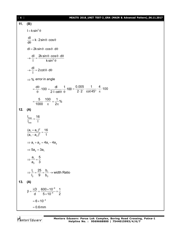| [6] | MEAITS 2018_UNIT TEST-2_GRA (MAIN & Advanced Pattern)_06.11.2017                                                                                                                              |
|-----|-----------------------------------------------------------------------------------------------------------------------------------------------------------------------------------------------|
| 11. | (B)                                                                                                                                                                                           |
|     | $I = k \sin^2 \theta$                                                                                                                                                                         |
|     | $\frac{dl}{d\theta}$ = k · 2 sin $\theta$ · cos $\theta$                                                                                                                                      |
|     | $dl = 2k \sin \theta \cdot \cos \theta \cdot d\theta$                                                                                                                                         |
|     | $\rightarrow \frac{dl}{l} = \frac{2k \sin \theta \cdot \cos \theta \cdot d\theta}{k \sin^2 \theta}$                                                                                           |
|     | $\rightarrow \frac{dl}{l} = 2 \cot \theta \cdot d\theta$                                                                                                                                      |
|     | $\Rightarrow$ % error in angle                                                                                                                                                                |
|     | $=\frac{d\theta}{\theta}\cdot 100=\frac{d\theta}{2\cdot 1\cdot \cot \theta}\cdot \frac{1}{\theta}\cdot 100=\frac{0.005}{2\cdot 2}\cdot \frac{1}{\cot 45^{\circ}}\cdot \frac{4}{\pi}\cdot 100$ |
|     | $=\frac{5}{1000}\cdot\frac{100}{\pi}=\frac{1}{2\pi}\%$                                                                                                                                        |
| 12. | (A)                                                                                                                                                                                           |
|     | $\frac{I_{max}}{I} = \frac{16}{I}$                                                                                                                                                            |
|     | $\frac{(a_1 + a_2)^2}{(a_1 - a_2)^2} = \frac{16}{1}$                                                                                                                                          |
|     | $\Rightarrow$ a <sub>1</sub> + a <sub>2</sub> = 4a <sub>1</sub> - 4a <sub>2</sub>                                                                                                             |
|     | $\Rightarrow$ 5a <sub>2</sub> = 3a <sub>1</sub>                                                                                                                                               |
|     | $\Rightarrow \frac{a_1}{a_2} = \frac{5}{3}$                                                                                                                                                   |
|     | $\Rightarrow \frac{I_1}{I_2} = \frac{25}{9} = \frac{b_1}{b_2} \rightarrow$ width Ratio                                                                                                        |
| 13. | (A)                                                                                                                                                                                           |
|     | $\beta = \frac{\lambda D}{d} = \frac{600 \times 10^{-9}}{5 \times 10^{-4}} \times \frac{1}{2}$                                                                                                |
|     | $= 6 \times 10^{-4}$                                                                                                                                                                          |
|     | $= 0.6$ mm                                                                                                                                                                                    |

Mentors<sup>\*</sup> Eduserv<sup>-</sup>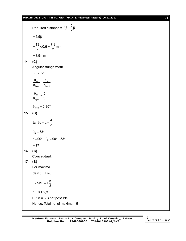#### **MEAITS 2018\_UNIT TEST-2\_GRA (MAIN & Advanced Pattern)\_06.11.2017** [ **7** ]

Required distance =  $4\beta + \frac{5}{6}$ 2  $\beta + \frac{6}{9} \beta$  $= 6.5 \beta$  $\frac{13}{2}$  × 0.6 =  $\frac{7.8}{2}$  mm 2  $2$  $=\frac{18}{2} \times 0.6 = = 3.9$ mm **14. (C)** Angular stringe width  $\theta = \lambda / d$ air <sub>—</sub> '<sup>v</sup>air liquid <sup>V</sup>liquid  $\frac{\theta_{\text{air}}}{\theta_{\text{air}}} = \frac{\lambda_{\text{ai}}}{\theta_{\text{ai}}}$  $\Theta_{\text{liquid}}$   $\lambda_{\text{lic}}$ air liquid 5 3  $\frac{\Theta_{\text{air}}}{\Theta_{\text{air}}}$  =  $\theta$  $\theta_{\text{liquid}} = 0.30^{\circ}$ **15. (C)** B  $\tan \theta_{\rm B} = \mu = \frac{4}{3}$ 3  $\theta_{\rm B} = \mu = \frac{1}{2}$  $\theta_{\text{\tiny B}} = 53^{\circ}$  $r = 90^{\circ} - \theta_{\rm B} = 90^{\circ} - 53^{\circ}$  $=37^{\circ}$ **16. (B) Conceptual. 17. (B)** For maxima  $dsin \theta = \pm n \lambda$  $\sin \theta = \pm \frac{n}{2}$ 3  $\Rightarrow$  sin  $\theta = \pm \frac{1}{2}$  $n = 0, 1, 2, 3$ But  $n = 3$  is not possible. Hence. Total no. of maxima = 5

Mentors Eduserv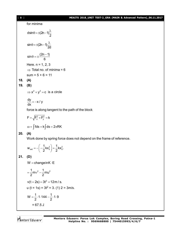for minima  
\n
$$
dsin\theta = \pm (2n-1)\frac{\lambda}{2}
$$
\n
$$
sin\theta = \pm (2n-1)\frac{\lambda}{2d}
$$
\n
$$
sin\theta = \pm \frac{(2n-1)}{6}
$$
\nHere. n = 1, 2, 3  
\n
$$
\Rightarrow
$$
 Total no. of minima = 6  
\nsum = 5 + 6 = 11  
\n(A)  
\n(B)  
\n
$$
\Rightarrow x^2 + y^2 = c
$$
 is a circle  
\n
$$
\frac{dy}{dx} = -x/y
$$
\nforce is along tangent to the path of the block  
\n
$$
F = \sqrt{F_x^2 + F_y^2} = k
$$
\n
$$
\omega = \int f ds = k \int ds = 2\pi RK
$$

#### **20. (A)**

**18. (A) 19. (B)**

Work done by spring force does not depend on the frame of reference.

$$
w_{ext} = -\left(-\frac{1}{2}kx_0^2\right) = \frac{1}{2}kx_0^2.
$$

**21. (D)**

 $W = changeinK \cdot E$ 

$$
= \frac{1}{2}mv^{2} - \frac{1}{2}mu^{2}
$$
  
\n
$$
v(t = 2s) = 3t^{2} = 12m/s.
$$
  
\n
$$
u(t = 1s) = 3t^{2} = 3. (1) 2 = 3m/s.
$$
  
\n
$$
W = \frac{1}{2} \cdot 1 \cdot 144 - \frac{1}{2} \cdot 1 \cdot 9
$$
  
\n
$$
= 67.5 J
$$

Mentors<sup>®</sup> Eduserv<sup>®</sup>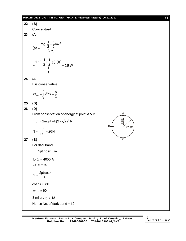#### **MEAITS 2018\_UNIT TEST-2\_GRA (MAIN & Advanced Pattern)\_06.11.2017** [ **9** ]

22. (B)  
\n**Conceptual.**  
\n23. (A)  
\n
$$
\langle p \rangle = \frac{mg \cdot \frac{1}{2} + \frac{1}{2}mv^2}{\ell/v_0}
$$
\n
$$
= \frac{1 \cdot 10 \cdot \frac{1}{2} + \frac{1}{2} \cdot (1) \cdot (1)^2}{\frac{1}{1}} = 5.5 \text{ W}
$$
\n24. (A)  
\nF is conservative  
\n
$$
W_{AB} = \int_0^2 x^2 dx = \frac{8}{3}
$$
\n25. (D)  
\n26. (D)  
\nFrom conservation of energy at point A & B  
\n $mv^2 = 2mgR + k(2 - \sqrt{2})^2 R^2$   
\n $N = \frac{mv^2}{R} = 26N$   
\n27. (B)  
\nFor dark band  
\n2pt cosr = n\lambda  
\nfor  $\lambda = 4000$  A  
\nLet n = n<sub>1</sub>  
\n $n_1 = \frac{2\mu t \cos r}{\lambda_1}$   
\ncosr = 0.86  
\n $\Rightarrow r_1 \approx 60$   
\nSimilarly,  $r_2 \approx 48$   
\nHence No. of dark band = 12

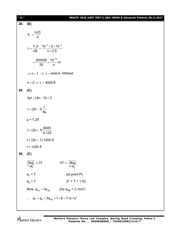| $[10]$ | MEAITS 2018_UNIT TEST-2_GRA (MAIN & Advanced Pattern)_06.11.2017                    |
|--------|-------------------------------------------------------------------------------------|
| 28.    | (B)                                                                                 |
|        | $Y_n = \frac{n\lambda D}{d}$                                                        |
|        | $\lambda = \frac{Y_n d}{nD} = \frac{10^{-3} \times 2 \times 10^{-3}}{n \times 2.5}$ |
|        | $=\frac{200000}{25} \times \frac{10^{-10}}{n} m$                                    |
|        | $\Rightarrow$ n = 1 $\Rightarrow \lambda = 8000$ Å Infrared                         |
|        | $n = 2 \implies \lambda = 4000 \text{ Å}$                                           |
| 29.    | (C)                                                                                 |
|        | $2\mu t = (2n - 1)\lambda / 2$                                                      |
|        | $t = (2n-1)\frac{\lambda}{4\mu}$                                                    |
|        | $\mu$ = 1.25                                                                        |
|        | $t = (2n - 1)\frac{6000}{4.125}$                                                    |
|        | $t = (2n - 1) 1200$ Å                                                               |
|        | $t = 1200 \text{ Å}$                                                                |
| 30.    | (C)                                                                                 |
|        | $\frac{3\text{kg}}{4}$ $\rightarrow$ 3T<br>$4T \leftarrow \boxed{4kg}$              |
|        | $a_1 = T$<br>(at point P)                                                           |
|        | $a_2 = T$<br>$(F = T = 1 N)$                                                        |
|        | (As $a_{AB} = 2$ m/s <sup>2</sup> )<br>Now, $a_{PB} = 3a_{AB}$                      |
|        | $\therefore$ $a_{P} = a_{B} + 3a_{AB} = 1 + 6 = 7 \text{ m/s}^{2}$                  |

Mentors<sup>e</sup> Eduserv<sup>-</sup>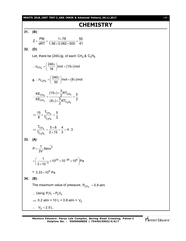**MEAITS 2018\_UNIT TEST-2\_GRA (MAIN & Advanced Pattern)\_06.11.2017** [ **11** ]

### **CHEMISTRY**

**31. (B)**  $Z = \frac{PM}{1.57} = \frac{1 \times 78}{1.50 \times 2.222 \times 500} = \frac{50}{11}$ d $RT$  1.56 $\times$ 0.082 $\times$ 500 41  $=\frac{PM}{1RT}=\frac{1\times78}{1.50\times9.000\times500}=$  $\times$  0.082  $\times$  5 **32. (D)** Let, there be  $(240x)$ g. of each CH<sub>4</sub> & C<sub>2</sub>H<sub>6</sub>  $n_{\text{CH}_4} = \left(\frac{240x}{16}\right)$ mol =  $(15x)$ mol  $\therefore$  n<sub>CH<sub>4</sub></sub> =  $\left(\frac{240x}{16}\right)$  mol =  $(15x)$ & ∴ n<sub>C<sub>2</sub>H<sub>6</sub> =  $\left(\frac{240x}{30}\right)$ mol =  $(8x)$ mol</sub>  $\therefore$  n<sub>C<sub>2</sub>H<sub>6</sub> =  $\left(\frac{240x}{30}\right)$  mol =  $(8x)$ </sub>  $(15x)$  $(8x)$  $4 - \frac{1}{2}$   $2 - \frac{114}{4}$ 4  $(8x) \times \frac{1}{2}$ RIC<sub>2</sub>H<sub>6</sub> CH<sub>4</sub>  $(^{15\lambda})^{\times}$ <sub>2</sub> N ICH CH<sub>4</sub>  $(8x) \times \frac{5}{2}RT_{C_2H}$  $\frac{NE_{CH_4}}{SE_{CH_4}} = \frac{(15x) \times \frac{3}{2}RT_{CH_4}}{15x} = \frac{5}{2}$  $KE_{CH_4}$   $(8x) \times \frac{3}{6}RT_{Ch_6}$  2 2  $\times$  $\therefore \frac{614}{15} = \frac{2}{2} = \frac{1}{2}$  $\times$ *x x* 4  $2\Box$ 6 CH  $\mathsf{C_2H}$ 15  $T_{CH_4}$  5 8 T<sub>C</sub><sub>He</sub> 2  $\Rightarrow \frac{18}{2} \times \frac{614}{7} = \frac{3}{2}$ 4  $2\Box$ 6 CH  $\mathsf{C_2H}$  $\frac{T_{\text{CH}_4}}{T_{\text{H}_4}} = \frac{5 \times 8}{3 \times 10^{-15}} = \frac{4}{3} = 4:3$  $T_{C_2H_2}$  2×15 3  $\Rightarrow \frac{I_{CH_4}}{\pi} = \frac{5 \times 8}{3 \times 15} = \frac{4}{3} = 4$  $\times$ **33. (A)**  $P = \frac{1}{2M}$ .Nmv<sup>2</sup> 3V  $=$  $^{24}$   $\times$  10 $^{-26}$   $\times$  10 $^{6}$ 3  $\frac{1}{2}$  × 10<sup>24</sup> × 10<sup>-26</sup> × 10<sup>6</sup> Pa  $3 \times 10$ -- $=\left(\frac{1}{3\times10^{-3}}\times10^{24}\times10^{-26}\times10^{6}\right)$ P =  $3.33 \times 10^6$  Pa **34. (B)** The maximum value of pressure,  $\mathsf{P}_\mathsf{CO_2^-}$  = 0.8 atm  $\therefore$  Using P<sub>1</sub>V<sub>1</sub> = P<sub>2</sub>V<sub>2</sub>  $\Rightarrow$  0.2 atm × 10 L = 0.8 atm × V<sub>2</sub>  $\therefore$  V<sub>2</sub> = 2.5 L.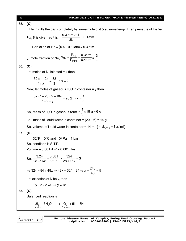| $[12]$ | MEAITS 2018_UNIT TEST-2_GRA (MAIN & Advanced Pattern)_06.11.2017                                          |
|--------|-----------------------------------------------------------------------------------------------------------|
| 35.    | (C)                                                                                                       |
|        | If He (g) fills the bag completely by same mole of it & at same temp. Then pressure of He be              |
|        | $P_{He}$ & is given as $P_{He} = \frac{0.3 \text{ atm} \times 11}{31} = 0.1 \text{ atm}$                  |
|        | : Partial pr. of Ne = $(0.4 - 0.1)$ atm = 0.3 atm.                                                        |
|        | mole fraction of Ne, $x_{Ne} = \frac{P_{Ne}}{P_{total}} = \frac{0.3atm}{0.4atm} = \frac{3}{4}$            |
| 36.    | (C)                                                                                                       |
|        | Let moles of $N_2$ injected = x then                                                                      |
|        | $\frac{32\times1+2x}{1+y}=\frac{88}{3} \Rightarrow x=2$                                                   |
|        | Now, let moles of gaseous $H2O$ in container = y then                                                     |
|        | $\frac{32 \times 1 + 28 \times 2 + 18y}{1 + 2 + y} = 28.2 \Rightarrow y = \frac{1}{3}$                    |
|        | So, mass of H <sub>2</sub> O in gaseous form = $\frac{1}{3}$ × 18 g = 6 g                                 |
|        | i.e., mass of liquid water in container = $(20 – 6) = 14$ g                                               |
|        | So, volume of liquid water in container = 14 ml $[$ $\because$ d <sub>H<sub>2</sub>O(I)</sub> = 1 g / ml] |
| 37.    | (D)                                                                                                       |
|        | $32^{\circ}F = 0^{\circ}C$ and $10^{\circ}Pa = 1$ bar                                                     |
|        | So, condition is S.T.P.                                                                                   |
|        | Volume = $0.681$ dm <sup>3</sup> = $0.681$ litre.                                                         |
|        | So, $\frac{3.24}{28+16x} = \frac{0.681}{22.7} \Rightarrow \frac{324}{28+16x} = 3$                         |
|        | ⇒ 324 = 84 + 48x ⇒ 48x = 324 - 84 ⇒ x = $\frac{240}{48}$ = 5                                              |
|        | Let oxidation of N be y, then                                                                             |
|        | $2y-5\times2=0 \Rightarrow y=+5$                                                                          |
| 38.    | (C)                                                                                                       |
|        | Balanced reaction is                                                                                      |
|        | $3I_2$ + $3H_2O \longrightarrow IO_3^- + 5I^- + 6H^+$<br>x moles<br>10 moles                              |

Mentors<sup>e</sup> Eduserv<sup>-</sup>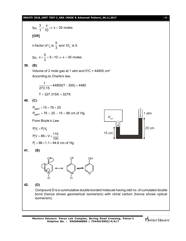#### **MEAITS 2018\_UNIT TEST-2\_GRA (MAIN & Advanced Pattern)\_06.11.2017** [ **13** ]

So, 
$$
\frac{3}{1} = \frac{x}{10} \Rightarrow x = 30
$$
 moles  
\n[OR]  
\nIn-factor of  $I_2$  is  $\frac{5}{3}$  and  $10_3$  is 5.  
\nSo,  $x \times \frac{5}{3} = 5 \times 10 \Rightarrow x = 30$  moles  
\n39. (B)  
\nVolume of 2 mole gas at 1 atm and 0°C = 44800 cm<sup>3</sup>  
\nAccording to Charles' law,  
\n $\frac{1}{273.15} \times 44800(T - 300) = 4480$   
\n $T = 327.315K = 327K$   
\n40. (C)  
\n $P_{gasf} + 15 = 76 + 25$   
\n $P_{gasf} = 76 + 25 - 15 = 86$  cm of Hg  
\nFrom Boyle's Law  
\n $P_1 V_1 = P_1 V_1$   
\n $P_1 V = 86 \times 1 \times \frac{110}{100}$   
\n $P_1 = 86 \times 1 \times \frac{110}{100}$   
\n $P_1 = 86 \times 1 \times \frac{110}{100}$   
\n41. (B)  
\n42. (D)  
\nCompound D is a cumulative double bonded molecule having odd no. of cumulated double  
\nbond (hence shows geometrical isomerism) with chiral carbon (hence shows optical  
\nisomerism).

Mentors<sup>e</sup> Eduserv<sup>-</sup>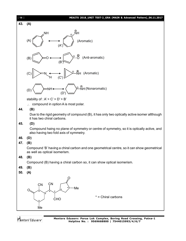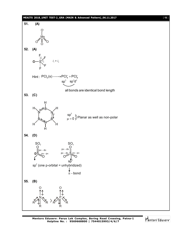#### **MEAITS 2018\_UNIT TEST-2\_GRA (MAIN & Advanced Pattern)\_06.11.2017** [ **15** ]



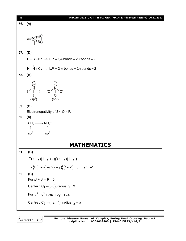| [16] | MEAITS 2018_UNIT TEST-2_GRA (MAIN & Advanced Pattern)_06.11.2017                                                                                                                                                                                                                                                                                    |
|------|-----------------------------------------------------------------------------------------------------------------------------------------------------------------------------------------------------------------------------------------------------------------------------------------------------------------------------------------------------|
| 56.  | (A)                                                                                                                                                                                                                                                                                                                                                 |
|      |                                                                                                                                                                                                                                                                                                                                                     |
| 57.  | (D)                                                                                                                                                                                                                                                                                                                                                 |
|      | $H - C = N$ : $\rightarrow$ L.P. = 1, $\sigma$ -bonds = 2, $\pi$ bonds = 2                                                                                                                                                                                                                                                                          |
|      | $H-N \equiv C: \rightarrow L.P. = 2, \sigma-bonds = 2, \pi bonds = 2$                                                                                                                                                                                                                                                                               |
| 58.  | (B)                                                                                                                                                                                                                                                                                                                                                 |
|      | $-O$ / $\bigvee_{\begin{array}{c} 0 \ 0 \ (sp^3) \end{array}}^{\begin{array}{c} 0 \ \end{array}}$<br>(sp <sup>3</sup> )                                                                                                                                                                                                                             |
| 59.  | (C)                                                                                                                                                                                                                                                                                                                                                 |
|      | Electronegativity of $S < O < F$ .                                                                                                                                                                                                                                                                                                                  |
| 60.  | (A)                                                                                                                                                                                                                                                                                                                                                 |
|      | $\begin{picture}(150,10) \put(0,0){\line(1,0){10}} \put(15,0){\line(1,0){10}} \put(15,0){\line(1,0){10}} \put(15,0){\line(1,0){10}} \put(15,0){\line(1,0){10}} \put(15,0){\line(1,0){10}} \put(15,0){\line(1,0){10}} \put(15,0){\line(1,0){10}} \put(15,0){\line(1,0){10}} \put(15,0){\line(1,0){10}} \put(15,0){\line(1,0){10}} \put(15,0){\line($ |
|      | sp <sup>3</sup><br>sp <sup>2</sup>                                                                                                                                                                                                                                                                                                                  |
|      | <b>MATHEMATICS</b>                                                                                                                                                                                                                                                                                                                                  |
| 61.  | (C)                                                                                                                                                                                                                                                                                                                                                 |
|      | $f'(x+y)(1+y') = g'(x+y)(1+y')$                                                                                                                                                                                                                                                                                                                     |
|      | $\Rightarrow$ {f'(x+y)-g'(x+y)}(1+y')=0 $\Rightarrow$ y'=-1                                                                                                                                                                                                                                                                                         |
| 62.  | (C)                                                                                                                                                                                                                                                                                                                                                 |
|      | For $x^2 + y^2 - 9 = 0$                                                                                                                                                                                                                                                                                                                             |
|      | Center: $C_1 = (0,0)$ ; radius: $r_1 = 3$                                                                                                                                                                                                                                                                                                           |
|      | For $x^2 + y^2 + 2ax + 2y + 1 = 0$                                                                                                                                                                                                                                                                                                                  |
|      | Centre : $C_2$ : = $(-a, -1)$ ; radius: $r_2$ =   a                                                                                                                                                                                                                                                                                                 |
|      |                                                                                                                                                                                                                                                                                                                                                     |

Mentors<sup>®</sup> Eduserv<sup>®</sup>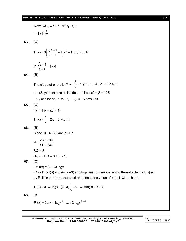#### **MEAITS 2018\_UNIT TEST-2\_GRA (MAIN & Advanced Pattern)\_06.11.2017** [ **17** ]

Now, C<sub>1</sub>C<sub>2</sub> = r<sub>1</sub> + r<sub>2</sub> or |r<sub>1</sub> - r<sub>2</sub>|  
\n
$$
\Rightarrow |a| = \frac{4}{3}
$$
\n63. (C)  
\n
$$
f'(x) = 3\left(\frac{\sqrt{a+1}}{a-1} - 1\right)x^2 - 1 < 0, \forall x \in \mathbb{R}
$$
\nIf  $\frac{\sqrt{a+1}}{a-1} - 1 < 0$   
\n64. (B)  
\nThe slope of chord is  $m = -\frac{8}{y} \Rightarrow y \in \{-8, -4, -2, -1, 1, 2, 4, 8\}$   
\nbut (8, y) must also lie inside the circle  $x^2 + y^2 = 125$   
\n $\Rightarrow y$  can be equal to  $\pm 1, \pm 2, \pm 4 \Rightarrow 6$  values  
\n65. (C)  
\n
$$
f(x) = \ln x - (x^2 - 1)
$$
\n
$$
f'(x) = \frac{1}{x} - 2x < 0 \forall x > 1
$$
\n66. (B)  
\nSince SP, 4, SO are in H.P.  
\n
$$
4 = \frac{2SP \cdot SQ}{SP + SQ}
$$
\nSo = 3  
\nHence PQ = 6 + 3 = 9  
\n67. (C)  
\nLet  $f(x) = (x - 3) \log x$   
\n $f(1) = 0$  &  $f(3) = 0$ , As  $(x - 3)$  and  $\log x$  are continuous and differentiable in (1, 3) so  
\nby Rolle's theorem, there exists at least one value of x in (1, 3) such that  
\n
$$
f'(x) = 0 \Rightarrow \log x + (x - 3)\frac{1}{x} = 0 \Rightarrow x \log x = 3 - x
$$
\n68. (B)  
\n
$$
P'(x) = 2a_1x + 4a_2x^3 + ... + 2na_nx^{2n-1}
$$

Mentors<sup>e</sup> Eduserv<sup>-</sup>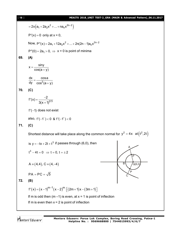| $[18]$ | MEAITS 2018_UNIT TEST-2_GRA (MAIN & Advanced Pattern)_06.11.2017                        |
|--------|-----------------------------------------------------------------------------------------|
|        | $=2x(a_1+2a_2x^2++na_nx^{2n-2})$                                                        |
|        | $P'(x) = 0$ only at $x = 0$ ,                                                           |
|        | Now, $P''(x) = 2a_1 + 12a_2x^2 +  + 2n(2n - 1)a_nx^{2n-2}$                              |
|        | $P''(0) = 2a_1 > 0$ , $\Rightarrow$ x = 0 is point of minima                            |
| 69.    | (A)                                                                                     |
|        | $x = \frac{\sin y}{\cos(a + y)}$                                                        |
|        | $\frac{dx}{dy} = \frac{\cos a}{\cos^2(a+y)}$                                            |
| 70.    | (C)                                                                                     |
|        | $f'(x) = \frac{-2}{3(x+1)^{2/3}}$                                                       |
|        | $f'(-1)$ does not exist                                                                 |
|        | also, $f'(-1^-) < 0$ & $f'(-1^+) < 0$                                                   |
| 71.    | (C)                                                                                     |
|        | Shortest distance will take place along the common normal for $y^2 = 4x$ at $(t^2, 2t)$ |
|        | is $y = -tx + 2t + t^3$ if passes through (6,0), then                                   |
|        | $t^3 - 4t = 0 \Rightarrow t = 0, t = \pm 2$                                             |
|        | B<br>$A \equiv (4, 4), C \equiv (4, -4)$<br>Q(6,0)                                      |
|        | $\overline{P}$<br>$PA = PC = \sqrt{5}$                                                  |
| 72.    | (B)                                                                                     |
|        | $f'(x) = (x-1)^{m-1}(x-2)^m [(2m+1)x-(3m+1)]$                                           |
|        | If m is odd then $(m-1)$ is even, at $x = 1$ is point of inflection                     |
|        | If m is even then $x = 2$ is point of inflection                                        |
|        |                                                                                         |

Mentors<sup>®</sup> Eduserv<sup>®</sup>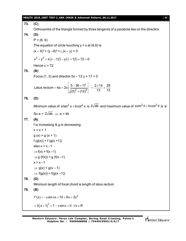#### **MEAITS 2018\_UNIT TEST-2\_GRA (MAIN & Advanced Pattern)\_06.11.2017** [ **19** ]

**73. (C)** Orthocentre of the triangle formed by three tangents of a parabola lies on the directirix **74. (D)**  $P = (6, 6)$ The equation of circle touching  $y = x$  at (6,6) is  $(x - 6)^2$  +  $(y - 6)^2$  +  $\lambda$   $(x - y)$  = 0  $x^{2} + y^{2} + x(\lambda - 12) - y(\lambda + 12) + 72 = 0$ Hence  $c = 72$ **75. (B)** Focus (1, 3) and directrix  $5x - 12y + 17 = 0$ Latus rectum = 4a = 2x  $\left| \frac{5-36+17}{\sqrt{(5^2+(12))^2}} \right| = \frac{2\times14}{13} = \frac{28}{13}$  $(5)^2 + (12)^2$  13 13  $=4a=2x\left|\frac{5-36+17}{\sqrt{2-36-x^2}}\right|_0^1=\frac{2\times14}{10}=\frac{2}{5}$  $\ddot{}$ **76. (D)** Minimum value of a tan<sup>2</sup> x + bcot<sup>2</sup> x is  $2\sqrt{ab}$  and maximum value of  $a\sin^2\theta + b\cos^2\theta$  is 'a' So a =  $2\sqrt{ab} \Rightarrow a = 4b$ **77. (A)** f is increasing & g is decreasing  $x < x + 1$  $g(x)$  >  $g(x + 1)$  $f(g(x)) > f(g(x + 1))$ also  $x > x - 1$  $\Rightarrow$  f(x) > f(x-1)  $\Rightarrow$  g (f(x)) < g (f(x-1)  $x > x - 1$  $\Rightarrow$  g(x) < g(x - 1)  $\Rightarrow$  f(g(x)) < f(g(x-1)) **78. (D)** Minimum length of focal chord is length of latus rectum **79. (B)** f'(x) =  $-\pi \sin \pi x + 10 + 6x + 3x^2$  $= 3(x+1)^2 + 7 - \pi \sin x > 0 \quad \forall x \in \mathsf{R}$ 

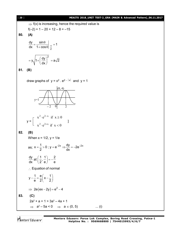$$
[20]
$$

#### [ **20** ] **MEAITS 2018\_UNIT TEST-2\_GRA (MAIN & Advanced Pattern)\_06.11.2017**

 $\Rightarrow$  f(x) is increasing, hence the required value is  $f(-2) = 1 - 20 + 12 - 8 = -15$ **80. (A)**  $\frac{dy}{dt} = \frac{\sin \theta}{4 \pi \cosh \theta} \Big|_{\pi} = 1$  $=\frac{\sin\theta}{1-\sin\theta}$   $\pi =$  $\frac{1}{\text{dx}} - \frac{1}{1 + \cos \theta} \frac{\pi}{2}$  $+ \cos \theta$ 2  $y_1/1 + \left(\frac{dy}{dx}\right)^2 = a\sqrt{2}$  $= y \sqrt{1 + \left(\frac{dy}{dx}\right)^2} = \epsilon$ dx **81. (B)** draw graphs of  $y = x^2 \cdot e^{2-|x|}$  and  $y = 1$  $(0, 4)$  $y=1$  $2 \cdot 2^{-x}$  $x^2$  ·e<sup>2-x</sup> if  $x \ge 0$  $\geq$  $y = \begin{bmatrix} 1 & 1 \\ 1 & 1 \end{bmatrix}$ ]  $2 \cdot 2^{2+x}$  $^{+}$  $x^2$  ·e<sup>2+x</sup> if  $x < 0$  $\lt$ **82. (B)** When  $x = 1/2$ ,  $y = 1/e$ as;  $x = \frac{1}{2} > 0$ ;  $y = e^{-2x} \Rightarrow \frac{dy}{dx} = -2e^{-2x}$  $=\frac{1}{2}$  > 0 ; y = e<sup>-2x</sup>  $\Rightarrow \frac{dy}{1}$  = -2e<sup>-2</sup>  $2^{x}$  dx dy at  $\left(\frac{1}{2},\frac{1}{2}\right) = -\frac{2}{3}$  $\left(\frac{1}{2},\frac{1}{e}\right)=-\frac{2}{e}$ dx  $\left(2 \right)$  e e  $\therefore$  Equation of normal  $y - \frac{1}{2} = \frac{e}{2} \left( x - \frac{1}{2} \right)$  $-\frac{1}{e} = \frac{e}{2} \left(x - \frac{1}{2}\right)$ e 2 2  $\Rightarrow$  2e(ex - 2y) = e<sup>2</sup> - 4 **83. (C)** 2a<sup>2</sup> + a + 1 > 3a<sup>2</sup> – 4a + 1  $\Rightarrow$   $a^2-5a < 0$   $\Rightarrow$   $a \in (0, 5)$  ... (i)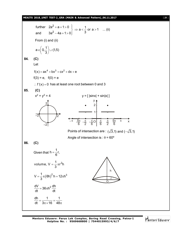#### **MEAITS 2018\_UNIT TEST-2\_GRA (MAIN & Advanced Pattern)\_06.11.2017** [ **21** ]

2 2 further  $2a^2 + a + 1 > 0$   $\Rightarrow a < \frac{1}{2}$  or  $a > 1$  ... (ii) 3 and 3a 4a 1 0  $+a+1>0$   $\Rightarrow a < \frac{1}{2}$  or a > 1  $-4a+1>0$ From (i) and (ii) a  $\in \left[ \,0,\frac{1}{2}\, \right] \cup$  (1,5) 3  $\in \left(0,\frac{1}{3}\right)$ **84. (C)** Let  $f(x) = ax^4 + bx^3 + cx^2 + dx + e$  $f(3) = e$ ,  $f(0) = e$ : f'(x) = 0 has at least one root between 0 and 3 **85. (C)**  $x^2 + y^2$  $y = [$   $|\text{sin}x| + \text{sin}|x|$ ] 2 –2 2 –2  $\begin{array}{c|cc} \n\frac{\pi}{6} & \frac{\pi}{2} \n\end{array}$  $\pi$  $rac{\pi}{2}$   $-\frac{\pi}{6}$  $-\frac{\pi}{2}$   $-\frac{\pi}{6}$ O  $\frac{\pi}{6}$ 6 5 6  $-\pi$   $-5\pi$   $-\pi$   $-5$   $-7\pi$   $-7\pi$   $-7\pi$   $-5\pi$ 6  $\pi$ 1  $2<sup>1</sup>$ y  $\overrightarrow{x}$ Points of intersection are :  $(\sqrt{3},1)$  and  $(-\sqrt{3},1)$ Angle of intersection is :  $\theta = 60^{\circ}$ **86. (C)** Given that  $h = \frac{1}{6}r,$ 6  $=$ volume,  $V = \frac{1}{2} \pi r^2 h$ 3  $=\frac{1}{2}\pi r$ h  $\overline{\mathrm{o}}$ r  $V = \frac{1}{2} \pi (6h)^2 h = 12 \pi h^3$ 3  $= \frac{1}{2} \pi (6h)^2 h = 12 \pi h$  $\frac{dV}{dt} = 36\pi h^2 \frac{dh}{dt}$ dt dt  $=36\pi$ h dh 1 1 dt  $3\pi \times 16$  48  $=\frac{1}{2}$  = - $\pi \times 16$  48 $\pi$ 

**Mentors Eduserv: Parus Lok Complex, Boring Road Crossing, Patna-1 Helpline No. : 9569668800 | 7544015993/4/6/7**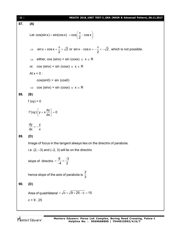| [22] | MEAITS 2018_UNIT TEST-2_GRA (MAIN & Advanced Pattern)_06.11.2017                                                                         |
|------|------------------------------------------------------------------------------------------------------------------------------------------|
| 87.  | (A)                                                                                                                                      |
|      | Let $cos(sin x) = sin(cos x) = cos \left(\frac{\pi}{2} - cos x\right)$                                                                   |
|      | $\sin x + \cos x = \frac{\pi}{2} > \sqrt{2}$ or $\sin x - \cos x = -\frac{\pi}{2} < -\sqrt{2}$ , which is not possible.<br>$\Rightarrow$ |
|      | either, cos (sinx) > sin (cosx) $\forall$ $x \in R$<br>$\Rightarrow$                                                                     |
|      | $cos (sin x) < sin (cos x)$ $\forall x \in R$<br>or,                                                                                     |
|      | At $x = 0$ :                                                                                                                             |
|      | cos(sin0) > sin (cos0)                                                                                                                   |
|      | $cos (sin x) > sin (cos x)$ $\forall x \in R$<br>$\Rightarrow$                                                                           |
| 88.  | (B)                                                                                                                                      |
|      | $f (xy) = 0$                                                                                                                             |
|      | $f'(xy)\left\{y+x\frac{dy}{dx}\right\}=0$                                                                                                |
|      | $\frac{dy}{dx} = -\frac{y}{x}$                                                                                                           |
| 89.  | (D)                                                                                                                                      |
|      | Image of focus in the tangent always lies on the directrix of parabola.                                                                  |
|      | i.e. $(2, -3)$ and $(-2, 3)$ will lie on the directrix                                                                                   |
|      | slope of directrix = $\frac{6}{-4} = \frac{-3}{2}$                                                                                       |
|      | hence slope of the axis of parabola is $\frac{2}{3}$                                                                                     |
| 90.  | (D)                                                                                                                                      |
|      | Area of quadrilateral = $\sqrt{c} \times \sqrt{9 + 25 - c} = 15$                                                                         |
|      | $c = 9, 25$                                                                                                                              |
|      |                                                                                                                                          |

Mentors<sup>\*</sup> Eduserv<sup>-</sup>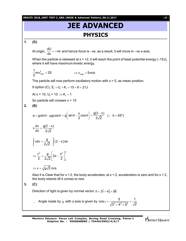**MEAITS 2018\_UNIT TEST-2\_GRA (MAIN & Advanced Pattern)\_06.11.2017** [ **23** ]

## **JEE ADVANCED PHYSICS**

**1. (D)**

At origin,  $\frac{dU}{dx}$  = +ve  $\frac{dS}{dx}$  = +ve and hence force is –ve, as a result, it will move in –ve x-axis.

When the particle is released at  $x = +2$ , it will reach the point of least potential energy (-15J), where it will have maximum kinetic energy,

$$
\frac{1}{2}mv_{\text{max}}^2 = 25 \qquad \qquad \Rightarrow v_{\text{max}} = 5 \text{ m/s}
$$

The particle will now perform oscillatory motion with  $x = 5$ , as mean position.

It option (C),  $E_i = U_i + K_i = 15 + 6 = 21J$ 

At x = 10,  $U_f = 10 \Rightarrow K_f = 1$ 

So particle will crosses  $x = 10$ 

**2. (B)**

$$
a = g \sin \theta - \mu g \cos \theta = g \left( \sin \theta - \frac{x}{2} \cos \theta \right) = \frac{g(2 - x)}{2\sqrt{2}} \quad (\because \theta = 45^{\circ})
$$

$$
v\frac{dv}{dx} = \frac{g(2-x)}{2\sqrt{2}}
$$

$$
\int_{0}^{v} v dv = \frac{g}{2\sqrt{2}} \int_{0}^{2} (2 - x) dx
$$

$$
\Rightarrow \frac{v^{2}}{2} = \frac{g}{2\sqrt{2}} \left[ 2x - \frac{x^{2}}{2} \right]_{0}^{2}
$$

 $\Rightarrow$  v =  $\sqrt{g\sqrt{2}}$  m/s

Also it is Clear that for  $x < 2$ , the body accelerates; at  $x = 2$ , acceleration is zero and for  $x > 2$ , the body retards till it comes to rest.

$$
3. (C)
$$

Direction of light is given by normal vector  $\vec{\mathsf{n}} = 3\hat{\mathsf{i}} + 4\hat{\mathsf{j}} + 5\hat{\mathsf{k}}$ 

.. Angle made by  $\vec{p}$  with z-axis is given by  $\cos \gamma = \frac{5}{\sqrt{2^2 + 4^2 + 5^2}}$  $cos \gamma = \frac{5}{\sqrt{2.1}} = \frac{1}{\sqrt{2}}$  $3^2 + 4^2 + 5^2$   $\sqrt{2}$  $\gamma = \frac{Q}{\sqrt{Q(1 - Q^2)}} = +4^{2}$  + 5

**Mentors Eduserv: Parus Lok Complex, Boring Road Crossing, Patna-1 Helpline No. : 9569668800 | 7544015993/4/6/7**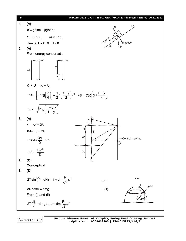

Mentors Eduserv

**Mentors Eduserv: Parus Lok Complex, Boring Road Crossing, Patna-1 Helpline No. : 9569668800 | 7544015993/4/6/7**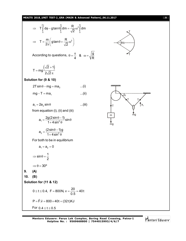

$$
\Rightarrow \tT\int_{0}^{2\pi} d\phi - g \tan \theta \int_{0}^{\pi} dm = \frac{R}{\sqrt{2}} \omega^{2} \int_{0}^{\pi} dm
$$
\n  
\n⇒  $T = \frac{m}{2\pi} \left( g \tan \theta + \frac{R}{\sqrt{2}} \omega^{2} \right)$   
\nAccording to questions,  $\theta = \frac{\pi}{4}$  &  $\omega = \sqrt{\frac{g}{R}}$   
\n  
\n $T = mg \frac{(\sqrt{2} + 1)}{2\sqrt{2} \pi}$   
\nSolution for (9 & 8, 10)  
\n $2T \sin \theta - mg = ma_{2}$  ...(i)  
\n $mg = T = ma_{1}$  ...(ii)  
\n $a_{1} = 2a_{2} \sin \theta$  ...(iii)  
\n $a_{1} = \frac{2g(2 \sin \theta - 1)}{1 + 4 \sin^{2} \theta} \sin \theta$   
\n $a_{2} = \frac{(2 \sin \theta - 1)g}{1 + 4 \sin^{2} \theta}$   
\nFor both to be in equilibrium  
\n $a_{1} = a_{2} = 0$   
\n⇒  $\sin \theta = \frac{1}{2}$   
\n⇒  $\theta = 30^{\circ}$   
\n  
\n9. (A)  
\n10. (B)  
\nSolution for (11 & 8, 12)  
\n $0 \le t \le 0.4$ ,  $F = 800N$ ,  $v = \frac{20}{0.5} = 40t$   
\n $P = \vec{F}.\vec{v} = 800 \times 40t = (32t)KJ$   
\nFor 0.4 ≤ t ≤ 0.5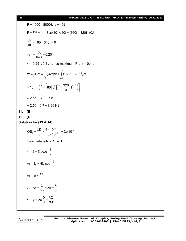#### [ **26** ] **MEAITS 2018\_UNIT TEST-2\_GRA (MAIN & Advanced Pattern)\_06.11.2017**

 $F = 4000 - 8000t$ ,  $v = 40t$  $P = \vec{F}.\vec{v} = (4-8t) \times 10^3 \times 40t = (160t - 320t^2)KJ$ .<br>2→  $\frac{dP}{dt} = 160 - 640t = 0$ dt  $=160-640t=0$  $t = \frac{160}{340} = 0.25$ 640  $\Rightarrow t = \frac{188}{040} = 0$  $\therefore$  0.25 < 0.4, hence maximum P at t = 0.4 s  $0.4$  0.5<br>[(22t)dt [(160t 220t<sup>2</sup> w =  $\int_{0}^{\frac{\pi}{2}} P dt = \int_{0}^{\frac{\pi}{2}} (32t) dt + \int_{0.4}^{\frac{\pi}{2}} (160t - 320t^2) dt$ 2]<sup>0.4</sup> | **90**[+2]<sup>0.5</sup> 320[+3]<sup>0.5</sup>  $16[t^2]_0^{0.4} + 80[t^2]_{0.4}^{0.5} - \frac{320}{3}[t^3]_{0.4}^{0.5}$ 3  $=16[t^{2}]_{0}^{0.4}+\left[80[t^{2}]_{0.4}^{0.5}-\frac{320}{3}[t^{3}]_{0.4}^{0.5}\right]$  $= 2.56 + [7.2 - 6.5]$  $= 2.56 + 0.7 = 3.26$  KJ **11. (B) 12. (C) Solution for (13 & 14)**  $\cos_3 = \frac{\lambda D}{d} = \frac{6 \times 10^{-7} \times 1}{3 \times 10^{-3}} = 2 \times 10^{-4}$  m d  $3 \times 10$  $^{-7}$  × 1 \_ 2 × 10<sup>-</sup> - $=\frac{\lambda D}{4}=\frac{6\times10^{-7}\times1}{8\times10^{-3}}=2\times1$  $\times$ Given intensity at  $S_4$  is  $I_0$  $4I_0 \cos^2 \frac{\varphi}{2}$  $\therefore I = 4I_0 \cos^2 \frac{\phi}{2}$  $_{0} = 4I_{0} \cos^{2} \frac{\varphi}{2}$  $\Rightarrow I_0 = 4I_0 \cos^2 \frac{\phi}{2}$ 2 3  $\Rightarrow \quad \phi = \frac{2\pi}{2}$ x  $2\pi$  3  $\therefore \quad \Delta x = \frac{\lambda}{2} \times \Delta \phi = \frac{\lambda}{2}$  $\pi$  $y = \Delta x - \frac{D}{2} = \frac{\lambda D}{2}$ d 3d  $\therefore$  y =  $\Delta x \frac{D}{A} = \frac{\lambda}{2}$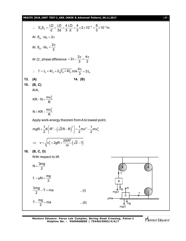**MEAITS 2018\_UNIT TEST-2\_GRA (MAIN & Advanced Pattern)\_06.11.2017** [ **27** ]

$$
\therefore S_3S_4 = \frac{\lambda D}{d} + \frac{\lambda D}{3d} = \frac{4}{3} \frac{\lambda D}{d} = \frac{4}{3} \times 2 \times 10^{-4} = \frac{8}{3} \times 10^{-4} \text{ m}
$$
\nAt S<sub>3</sub>,  $\Delta \phi_1 = 2\pi$   
\nAt S<sub>4</sub>,  $\Delta \phi_2 = \frac{2\pi}{3}$   
\nAt O', phase difference =  $2\pi - \frac{2\pi}{3} = \frac{4\pi}{3}$   
\n $\therefore \quad \Gamma = I_0 + 4I_0 + 2\sqrt{I_0 \times 4I_0} \cos \frac{4\pi}{3} = 3I_0$   
\n13. (A)  
\n14. (B)  
\n15. (B, C)  
\n16. (B, C)  
\n $N = KR - \frac{mv_0^2}{R}$   
\n $N = KR - \frac{mv_0^2}{R}$   
\nApply work-energy theorem from At to lowest point,  
\n $mgR + \frac{1}{2}K[\frac{R^2 - (\sqrt{2}R - R)^2}{\frac{R}{2}}] = \frac{1}{2}mv^2 - \frac{1}{2}mv_0^2$   
\n $\Rightarrow v = \sqrt{v_0^2 + 2gR + \frac{2KR^2}{m}(\sqrt{2} - 1)}$   
\n16. (B, C, D)  
\nWith respect to lift  
\n $N = \frac{3mg}{2}$   
\n $f_1 = \mu N = \frac{mg}{2}$   
\n $\frac{3mg}{2} - T = ma$  ...(i)  
\n $T - \frac{mg}{2} = ma$  ...(ii)  
\n $\mu N = \frac{mg}{\sqrt{mg}}$ 

**Mentors Eduserv: Parus Lok Complex, Boring Road Crossing, Patna-1 Helpline No. : 9569668800 | 7544015993/4/6/7**

Mentors<sup>e</sup> Eduserv<sup>-</sup>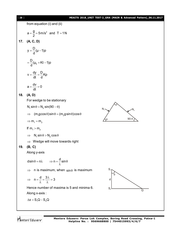#### [ **28** ] **MEAITS 2018\_UNIT TEST-2\_GRA (MAIN & Advanced Pattern)\_06.11.2017**



Mentors Eduserv

**Mentors Eduserv: Parus Lok Complex, Boring Road Crossing, Patna-1 Helpline No. : 9569668800 | 7544015993/4/6/7**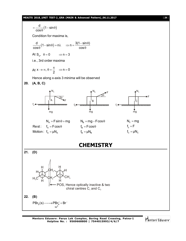#### **MEAITS 2018\_UNIT TEST-2\_GRA (MAIN & Advanced Pattern)\_06.11.2017** [ **29** ]



Mentors<sup>e</sup> Eduserv<sup>®</sup>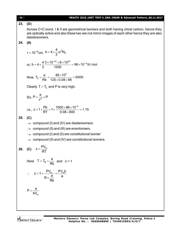| 30  | MEAITS 2018_UNIT TEST-2_GRA (MAIN & Advanced Pattern)_06.11.2017                                                                                                                                               |
|-----|----------------------------------------------------------------------------------------------------------------------------------------------------------------------------------------------------------------|
| 23. | (D)                                                                                                                                                                                                            |
|     | Across C=C bond, I & II are geometrical isomers and both having chiral carbon, hence they<br>are optically active and also these two are not mirror images of each other hence they are also<br>diastereomers. |
| 24. | (A)                                                                                                                                                                                                            |
|     | $r = 10^{-8}$ cm, $b = 4 \times \frac{4}{3} \pi r^3 N_A$                                                                                                                                                       |
|     | or, b = $4 \times \frac{4}{3} \frac{3 \times 10^{-24} \times 6 \times 10^{23}}{1000}$ = 96 × 10 <sup>-4</sup> lit/mol                                                                                          |
|     | Now, $T_b = \frac{a}{Rh} = \frac{48 \times 10^4}{125 \times 0.08 \times 0.05} = 500K$                                                                                                                          |
|     | Clearly $T > Tb$ and P is very high.                                                                                                                                                                           |
|     | So, $P + \frac{a}{\sqrt{2}} \approx P$                                                                                                                                                                         |
|     | i.e., $z = 1 + \frac{Pb}{PT} = 1 + \frac{1000 \times 96 \times 10^{-4}}{0.08 \times 800} = 1.15$                                                                                                               |
| 25. | (C)                                                                                                                                                                                                            |
|     | $\rightarrow$ compound (I) and (IV) are diastereomers                                                                                                                                                          |
|     | compound (II) and (III) are enantiomers.<br>$\rightarrow$                                                                                                                                                      |
|     | compound (I) and (II) are constitutional isomer                                                                                                                                                                |
|     | compound (II) and (IV) are constitutional isomers.                                                                                                                                                             |
|     | <b>26.</b> (C) $z = \frac{PV_m}{PT}$                                                                                                                                                                           |
|     | Here $T = T_B = \frac{a}{Rb}$ and $z = 1$                                                                                                                                                                      |
|     | $\therefore \quad z = 1 = \frac{PV_m}{R \times \frac{a}{Rb}} = \frac{PV_m b}{a}$                                                                                                                               |
|     | $P = \frac{a}{bV_m}$                                                                                                                                                                                           |
|     |                                                                                                                                                                                                                |

Mentors<sup>®</sup> Eduserv<sup>®</sup>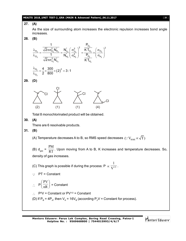#### **MEAITS 2018\_UNIT TEST-2\_GRA (MAIN & Advanced Pattern)\_06.11.2017** [ **31** ]

#### **27. (A)**

As the size of surrounding atom increases the electronic repulsion increases bond angle increases.

**28. (B)**

$$
\frac{\lambda_{H_2}}{\lambda_{O_2}} = \frac{\frac{1}{\sqrt{2}\pi\sigma_{H_2}^2 N_{H_2}^*}}{\frac{1}{\sqrt{2}\pi\sigma_{o_2}^2 N_{o_2}^*}} = \frac{N_{o_2}^*}{N_{H_2}^*} \Bigg( \frac{\sigma_{o_2}^2}{\sigma_{H_2}^2} \Bigg)^2 = \frac{\frac{P_{O_2}}{K T_{O_2}}}{\frac{P_{H_2}}{K T_{H_2}}} \times \Bigg( \frac{\sigma_{O_2}}{\sigma_{H_2}} \Bigg)^2
$$

$$
\frac{\lambda_{H_2}}{\lambda_{O_2}} = \frac{4}{2} \times \frac{300}{800} \times (2)^2 = 3:1
$$

**29. (D)**



Total 8 monochlorinated product will be obtained.

**30. (A)**

There are 6 resolvable products.

**31. (B)**

(A) Temperature decreases A to B, so RMS speed decreases  $(\because V_{\text{RMS}} \propto \sqrt{T})$ 

(B)  $d_{gas}$  = PM  $\overline{\text{RT}}$  . Upon moving from A to B, K increases and temperature decreases. So, density of gas increases.

(C) This graph is possible if during the process: P  $\propto \frac{1}{\mathbf{V}^{1/2}}$ 1  $\overline{\mathrm{V}^{\scriptscriptstyle{1/2}}}$  .

 $\therefore$  PT = Constant

$$
\therefore P\left(\frac{PV}{nR}\right) = \text{Constant}
$$

$$
\therefore P^2V = \text{Constant or } PV^{1/2} = \text{Constant}
$$

(D) If P<sub>B</sub> = 4P<sub>A</sub>, then V<sub>A</sub> = 16V<sub>B</sub> (according P<sub>2</sub>V = Constant for process).

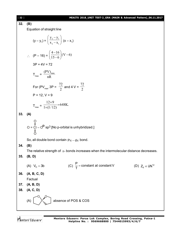| $[32]$ | MEAITS 2018_UNIT TEST-2_GRA (MAIN & Advanced Pattern)_06.11.2017                                               |
|--------|----------------------------------------------------------------------------------------------------------------|
| 32.    | (B)                                                                                                            |
|        | Equation of straight line                                                                                      |
|        |                                                                                                                |
|        | $(y - y_1) = \left(\frac{y_2 - y_1}{x_2 - x_1}\right) (x - x_1)$                                               |
|        | $\therefore$ (P – 16) = $\left(\frac{4-16}{15-6}\right)$ (V – 6)                                               |
|        | $3P + 4V = 72$                                                                                                 |
|        | $T_{\text{max}} = \frac{(PV)_{\text{max}}}{nR}$                                                                |
|        | For (PV <sub>max</sub> 3P = $\frac{72}{2}$ and 4 V = $\frac{72}{2}$                                            |
|        | $P = 12, V = 9$                                                                                                |
|        | $T_{\text{max}} = \frac{12 \times 9}{1 \times (1/12)} = 648 \text{K}.$                                         |
| 33.    | (A)                                                                                                            |
|        | O<br>O = Cl – O <sup>O</sup> sp <sup>3</sup> [No p-orbital is unhybridized.]                                   |
|        | So, all double bond contain $P_{\pi}$ – $d_{\pi}$ bond.                                                        |
| 34.    | (B)                                                                                                            |
|        | The relative strength of $\pi$ - bonds increases when the intermolecular distance decreases                    |
| 35.    | (B, D)                                                                                                         |
|        | (C) $\frac{P}{T}$ = constant at constant V<br>(A) $V_c = 3b$<br>(D) $Z_{\parallel} \propto \overline{u} N^{2}$ |
| 36.    | (A, B, C, D)                                                                                                   |
|        | Factual                                                                                                        |
| 37.    | (A, B, D)                                                                                                      |
| 38.    | (A, C, D)                                                                                                      |
|        | absence of POS & COS<br>(A)                                                                                    |
|        |                                                                                                                |

Mentors<sup>®</sup> Eduserv<sup>®</sup>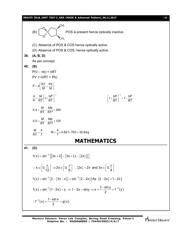

**Mentors Eduserv: Parus Lok Complex, Boring Road Crossing, Patna-1 Helpline No. : 9569668800 | 7544015993/4/6/7**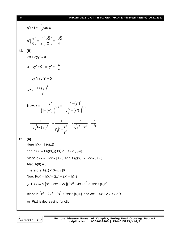#### [ **34** ] **MEAITS 2018\_UNIT TEST-2\_GRA (MAIN & Advanced Pattern)\_06.11.2017**

g'(x) = 
$$
-\frac{1}{2}\cos x
$$
  
\ng'  $(\frac{\pi}{6}) = \frac{-1}{2}(\frac{\sqrt{3}}{2}) = \frac{-\sqrt{3}}{4}$   
\n42. **(B)**  
\n $2x + 2yy' = 0$   
\n $x + yy' = 0 \Rightarrow y' = -\frac{x}{y}$   
\n $1 + yy'' + (y')^2 = 0$   
\n $y'' = -\frac{1 + (y')^2}{y}$   
\nNow,  $k = \frac{y''}{(1 + (y')^2)^{3/2}} = -\frac{1 + (y')^2}{y(1 + (y')^2)^{3/2}}$   
\n $= -\frac{1}{y\sqrt{1 + (y')^2}} = -\frac{1}{y\sqrt{1 + \frac{x^2}{y^2}}} = -\frac{1}{\sqrt{y^2 + x^2}} = -\frac{1}{R}$   
\n43. **(A)**  
\nHere h(x) = f(g(x))  
\nand h'(x) = f'(g(x))g'(x)  $0 \forall x \in [0, \infty)$   
\nSince g'(x)  $0 \forall x \in [0, \infty)$  and f'(g(x)) > 0 $\forall x \in [0, \infty)$   
\nAlso, h(0) = 0  
\nTherefore, h(x)  $6 \forall x \in [0, \infty)$   
\nNow, P(x) = h(x<sup>3</sup> - 2x<sup>2</sup> + 2x) - h(4)  
\nor P'(x) = h'(x<sup>3</sup> - 2x<sup>2</sup> + 2x)  $(3x^2 - 4x + 2) < 0 \forall x \in (0, 2)$   
\nsince h'(x<sup>3</sup> - 2x<sup>2</sup> + 2x)  $(3x^2 - 4x + 2) < 0 \forall x \in [0, 2)$   
\nsince h'(x<sup>3</sup> - 2x<sup>2</sup> + 2x)  $(3x^2 - 4x + 2) < 0 \forall x \in [0, 2)$ 

 $\Rightarrow$  P(x) is decreasing function

Mentors<sup>®</sup> Eduserv<sup>®</sup>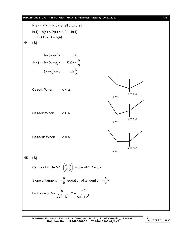#### **MEAITS 2018\_UNIT TEST-2\_GRA (MAIN & Advanced Pattern)\_06.11.2017** [ **35** ]  $P(2) < P(x) < P(0)$  for all  $x \in (0,2)$  $h(4) - h(4) < P(x) < h(0) - h(4)$  $\Rightarrow$  0 < P(x) < - h(4) **44. (B)**  $(\mathsf{x})$  $(a+c)$ (c – a)  $(a+c)x+b$ ,  $x \geq \frac{b}{c}$  $b - (a + c)x$  ,  $x < 0$  $f(x) = \begin{cases} b + (c - a)x, & 0 \le x < \frac{b}{a} \end{cases}$ a a  $\begin{bmatrix} \phantom{-} \end{bmatrix}$  $=\begin{cases} b-(a+c)x, & x < 0 \\ b+(c-a)x, & 0 \le x < \frac{1}{2} \end{cases}$  $\mathbf{I}$  $\begin{cases} (a+c)x+b, & x\geq \frac{1}{a} \end{cases}$ **Case-I:** When c < a  $x = 0$  $x = b/a$ **Case-II:** When c > a  $x = 0$  $x = b/a$ **Case-III:** When  $c = a$  $x = 0$  $x = b/a$ **45. (B)** Centre of circle 'c' =  $\left(\frac{a}{2}, \frac{b}{2}\right)$  $2^{\prime}2$  $=\left(\frac{a}{2}, \frac{b}{2}\right)$ , slope of OC = b/a Slope of tangent = a  $-\frac{a}{b}$ , equation of tangent y =  $-\frac{a}{b}x$ b  $=-\frac{8}{1}$ by + ax = 0, 2  $^2$  $2 h^2$   $2 h^2$  $n = \frac{b^2}{\sqrt{a^2}}, m = \frac{a^4}{\sqrt{a^2}}$  $a^2 + b^2$   $\sqrt{a^2 + b^2}$  $=\frac{b}{\sqrt{a^2-a}}$ , m = - $+b^2$   $\sqrt{a^2} + b$

**Mentors Eduserv: Parus Lok Complex, Boring Road Crossing, Patna-1 Helpline No. : 9569668800 | 7544015993/4/6/7**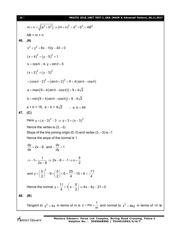$$
m+n = \sqrt{a^2 + b^2} \Rightarrow (m+n)^2 = a^2 + b^2 = AB^2
$$
  
\nAB = m + n  
\n46. (A)  
\n
$$
x^2 + y^2 + 8x - 10y - 40 = 0
$$
  
\n
$$
(x + 4)^2 + (y - 5)^2 = 1
$$
  
\n
$$
x = cos θ - 4, y = sin θ + 5
$$
  
\n
$$
(x + 2)^2 + (y - 3)^2
$$
  
\n
$$
= (cos θ - 2)^2 + (sin θ + 2)^2 = 9 + 4(sin θ - cos θ)
$$
  
\n
$$
a = max(9 + 4(sin θ - cos θ)) = 9 + 4\sqrt{2}
$$
  
\n
$$
b = min(9 + 4(sin θ - cos θ)) = 9 - 4\sqrt{2}
$$
  
\n
$$
a + b = 18, a - b = 8\sqrt{2} \therefore a \cdot b = 49
$$
  
\n47. (C)  
\nHere  $y = (x - 3)^2 - 3 \Rightarrow y + 3 = (x - 3)^2$   
\nHence the vertex is (3, -3)  
\nSlope of the line joining origin (0, 0) and vertex (3, -3) is -1  
\nHence the slope of the normal is 1  
\n
$$
\frac{dy}{dx} = 2x - 6 \text{ and } -\frac{dx}{dy} = 1
$$
  
\n
$$
\Rightarrow -1 = \frac{1}{2x - 6} \Rightarrow 2x - 6 = -1 \Rightarrow x = \frac{5}{2}
$$

and 
$$
y = \left(\frac{5}{2}\right)^2 - 6 \times \left(\frac{5}{2}\right) + 6 = \frac{25}{4} - 15 + 6 = \frac{-11}{4}
$$

Hence the normal 
$$
y + \frac{11}{4} = 1\left(x - \frac{5}{2}\right) \Rightarrow 4x - 4y - 21 = 0
$$

**48. (B)**

Tangent to  $y^2 = 4x$  in terms of m is  $y = mx + \frac{1}{2}$  $=$  mx +  $\frac{1}{m}$  and normal to  $x^2 = 4$ by in terms of 'm' is

Mentors<sup>®</sup> Eduserv<sup>®</sup>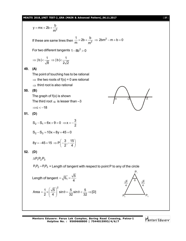#### **MEAITS 2018\_UNIT TEST-2\_GRA (MAIN & Advanced Pattern)\_06.11.2017** [ **37** ]

y = mx + 2b + 
$$
\frac{b}{m^2}
$$
  
\nIf these are same lines then  $\frac{1}{m} = 2b + \frac{b}{m^2} \Rightarrow 2bm^2 - m + b = 0$   
\nFor two different tangents  $1 - 8b^2 > 0$   
\n $\Rightarrow |b| < \frac{1}{\sqrt{8}} \Rightarrow |b| < \frac{1}{2\sqrt{2}}$   
\n49. (A)  
\nThe point of touching has to be rational  
\n $\Rightarrow$  the two roots of  $f(x) = 0$  are rational  
\n $\Rightarrow$  third root is also rational  
\n50. (B)  
\nThe graph of  $f(x)$  is shown  
\nThe third root  $\alpha$  is lesser than -3  
\n $\Rightarrow c < -18$   
\n51. (D)  
\nS<sub>2</sub> - S<sub>3</sub> = 10x + 8y + 45 = 0  
\n8y = -45 + 15  $\Rightarrow P(-\frac{3}{2}, -\frac{15}{4})$   
\n52. (D)  
\n $\triangle P_1 P_2 P_3$   
\n $P_1 P_2 = P_1 P_3 = \text{Length of tangent with respect to point P to any of the circle}$   
\nLength of tangent  $= \sqrt{S_1} = \frac{\sqrt{5}}{4}$   
\nArea  $= \frac{1}{2} \times (\frac{\sqrt{5}}{4})^2 \sin 0 = \frac{5}{32} \sin 0 < \frac{5}{32} \Rightarrow [D]$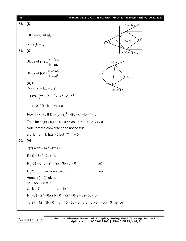| $[38]$ | MEAITS 2018_UNIT TEST-2_GRA (MAIN & Advanced Pattern)_06.11.2017                                              |
|--------|---------------------------------------------------------------------------------------------------------------|
| 53.    | (D)<br>$Q(\text{at}_1^2, 2at_1)$                                                                              |
|        | $-a = at_1t_2 \implies t_1t_2 = -1$                                                                           |
|        | ত<br>S(a,0)<br>A<br>$y = a(t_1 + t_2)$                                                                        |
| 54.    | (C)<br>$R(\text{at}_2^2, 2\text{at}_2)$                                                                       |
|        | Slope of $PQ = \frac{k - 2at_1}{h - at_1^2}$<br>$Q(\text{at}_1^2, 2at_1)$                                     |
|        | Slope of $RP = \frac{k - 2at_2}{h - at_2^2}$<br>P(h,k)                                                        |
| 55.    | (A, C)                                                                                                        |
|        | $f(x) = (x^2 + bx + c)e^{x}$<br>$R\left(\text{at}_2^2, 2\text{at}_2\right)$                                   |
|        | : $f'(x) = (x^2 + (b+2)x + (b+c))e^x$                                                                         |
|        | $f(x) > 0$ if $D = b^2 - 4c < 0$                                                                              |
|        | Now, $f'(x) > 0$ If $D' = (b+2)^2 - 4(b+c) = D + 4 < 0$                                                       |
|        | Thus for $f'(x) > 0, D + 4 < 0$ holds $\Rightarrow d < 0 \Rightarrow f(x) > 0$                                |
|        | Note that the converse need not be true,                                                                      |
|        | e.g. $b = c = 1$ , $f(x) > 0$ but $f'(-1) = 0$                                                                |
| 56.    | (A)                                                                                                           |
|        | $P(x) = x3 + ax2 + bx + c$                                                                                    |
|        | $P'(x) = 3x^2 + 2ax + b$                                                                                      |
|        | $P(-3) = 0 \Rightarrow -27 + 9a - 3b + c = 0$<br>$\dots(i)$                                                   |
|        | $P(2) = 0 \Rightarrow 8 + 4a + 2b + c = 0$<br>$\dots$ (ii)                                                    |
|        | Hence $(i) - (ii)$ gives                                                                                      |
|        | $5a - 5b - 35 = 0$                                                                                            |
|        | $a - b = 7$<br>$\ldots$ . (iii)                                                                               |
|        | $P'(-3) = 27 - 6a + b < 0 \Rightarrow 27 - 6(a - b) - 5b < 0$                                                 |
|        | $\Rightarrow$ 27 - 42 - 5b < 0 $\Rightarrow$ -15 - 5b < 0 $\Rightarrow$ 3 + b > 0 $\Rightarrow$ b > -3, hence |

Mentors<sup>e</sup> Eduserv<sup>-</sup>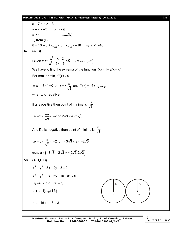#### **MEAITS 2018\_UNIT TEST-2\_GRA (MAIN & Advanced Pattern)\_06.11.2017** [ **39** ]

 $a - 7 = b > -3$  $a - 7 > -3$  [from (iii)]  $a > 4$  ......(iv)  $\therefore$  from (ii)  $8 + 16 - 6 + c_{\sf max} = 0$  ;  $c_{\sf max} = -18$   $\implies$  <code>c <  $-18$ </code> **57. (A, B)** Given that 2  $\frac{x^2 + x + 2}{x^2 + 5x + 6} < 0$  $x^2$  + 5x + 6  $+\times$  + 2  $<$  $\frac{1}{x+5x+6}$  < 0  $\Rightarrow$  x  $\in (-3,-2)$ We have to find the extrema of the function  $f(x) = 1 + a^2x - x^3$ For max or min,  $f'(x) = 0$  $a^2 - 3x^2 = 0$  or  $x = \pm \frac{a}{\sqrt{2}}$  and  $f''(x) = -6x$  $\Rightarrow$  a<sup>2</sup> - 3x<sup>2</sup> = 0 or x =  $\pm \frac{a}{\sqrt{3}}$  and f''(x) = -6x is +ve when x is negative If a is positive then point of minima is a 3  $\overline{\phantom{a}}$ i.e.  $-3 < \frac{-a}{\sqrt{2}} < -2$  or  $2\sqrt{3} < a < 3\sqrt{3}$ 3  $-3 < \frac{-a}{\sqrt{2}} < -2$  or  $2\sqrt{3} < a < 3$ And if a is negative then point of minima is a 3 i.e.  $-3 < \frac{a}{\sqrt{2}} < -2$  or  $-3\sqrt{3} < a < -2\sqrt{3}$ 3  $-3 < \frac{a}{\sqrt{2}} < -2$  or  $-3\sqrt{3} < a < -2$ then  $a \in (-3\sqrt{3}, -2\sqrt{3}) \cup (2\sqrt{3}, 3\sqrt{3})$ **58. (A,B,C,D)**  $x^{2} + y^{2} - 8x + 2y + 8 = 0$  $x^{2} + y^{2} - 2x - 6y + 10 - a^{2} = 0$  $|r_1 - r_2| < c_1 c_2 < r_1 + r_2$  $c_1$  (4, -1),  $c_2$  (1,3)  $r_1 = \sqrt{16} + 1 - 8 = 3$  $r<sub>1</sub>$ c<sup>1</sup> c<sup>2</sup>  $r<sub>2</sub>$